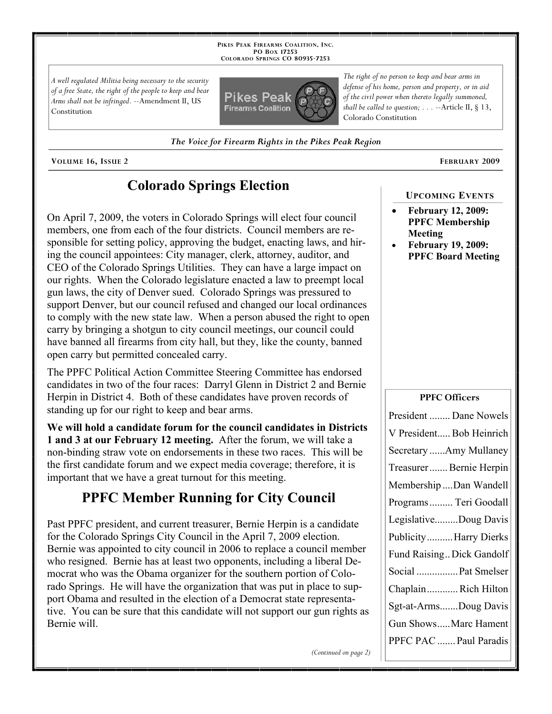**PIKES PEAK FIREARMS COALITION, INC. PO BOX 17253 COLORADO SPRINGS CO 80935 -7253**

*A well regulated Militia being necessary to the security of a free State, the right of the people to keep and bear Arms shall not be infringed.* --Amendment II, US Constitution



*defense of his home, person and property, or in aid of the civil power when thereto legally summoned, shall be called to question; . . .* --Article II, § 13, Colorado Constitution

*The right of no person to keep and bear arms in* 

*The Voice for Firearm Rights in the Pikes Peak Region*

**VOLUME 16, ISSUE 2 FEBRUARY 2009**

# **Colorado Springs Election**

On April 7, 2009, the voters in Colorado Springs will elect four council members, one from each of the four districts. Council members are responsible for setting policy, approving the budget, enacting laws, and hiring the council appointees: City manager, clerk, attorney, auditor, and CEO of the Colorado Springs Utilities. They can have a large impact on our rights. When the Colorado legislature enacted a law to preempt local gun laws, the city of Denver sued. Colorado Springs was pressured to support Denver, but our council refused and changed our local ordinances to comply with the new state law. When a person abused the right to open carry by bringing a shotgun to city council meetings, our council could have banned all firearms from city hall, but they, like the county, banned open carry but permitted concealed carry.

The PPFC Political Action Committee Steering Committee has endorsed candidates in two of the four races: Darryl Glenn in District 2 and Bernie Herpin in District 4. Both of these candidates have proven records of standing up for our right to keep and bear arms.

**We will hold a candidate forum for the council candidates in Districts 1 and 3 at our February 12 meeting.** After the forum, we will take a non-binding straw vote on endorsements in these two races. This will be the first candidate forum and we expect media coverage; therefore, it is important that we have a great turnout for this meeting.

# **PPFC Member Running for City Council**

Past PPFC president, and current treasurer, Bernie Herpin is a candidate for the Colorado Springs City Council in the April 7, 2009 election. Bernie was appointed to city council in 2006 to replace a council member who resigned. Bernie has at least two opponents, including a liberal Democrat who was the Obama organizer for the southern portion of Colorado Springs. He will have the organization that was put in place to support Obama and resulted in the election of a Democrat state representative. You can be sure that this candidate will not support our gun rights as Bernie will.

#### **February 12, 2009: PPFC Membership Meeting**

**UPCOMING EVENTS**

 **February 19, 2009: PPFC Board Meeting**

#### **PPFC Officers**

| President  Dane Nowels   |
|--------------------------|
| V President Bob Heinrich |
| Secretary Amy Mullaney   |
| Treasurer Bernie Herpin  |
| Membership Dan Wandell   |
| Programs  Teri Goodall   |
| LegislativeDoug Davis    |
| PublicityHarry Dierks    |
| Fund RaisingDick Gandolf |
| Social  Pat Smelser      |
| ChaplainRich Hilton      |
| Sgt-at-ArmsDoug Davis    |
| Gun ShowsMarc Hament     |
| PPFC PAC  Paul Paradis   |

*(Continued on page 2)*